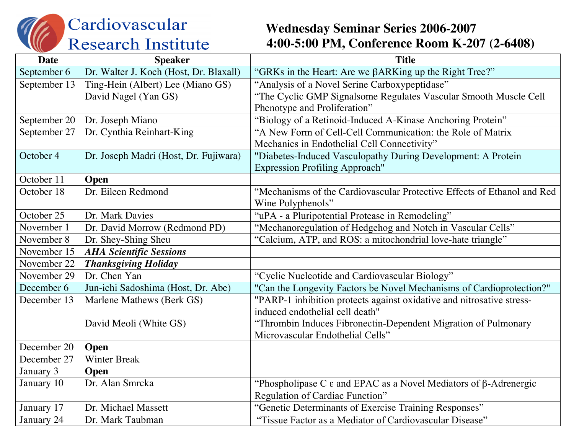Cardiovascular **Research Institute** 

## **Wednesday Seminar Series 2006-2007 4:00-5:00 PM, Conference Room K-207 (2-6408)**

| Date         | <b>Speaker</b>                         | <b>Title</b>                                                                        |
|--------------|----------------------------------------|-------------------------------------------------------------------------------------|
| September 6  | Dr. Walter J. Koch (Host, Dr. Blaxall) | "GRKs in the Heart: Are we $\beta$ ARKing up the Right Tree?"                       |
| September 13 | Ting-Hein (Albert) Lee (Miano GS)      | "Analysis of a Novel Serine Carboxypeptidase"                                       |
|              | David Nagel (Yan GS)                   | "The Cyclic GMP Signalsome Regulates Vascular Smooth Muscle Cell                    |
|              |                                        | Phenotype and Proliferation"                                                        |
| September 20 | Dr. Joseph Miano                       | "Biology of a Retinoid-Induced A-Kinase Anchoring Protein"                          |
| September 27 | Dr. Cynthia Reinhart-King              | "A New Form of Cell-Cell Communication: the Role of Matrix                          |
|              |                                        | Mechanics in Endothelial Cell Connectivity"                                         |
| October 4    | Dr. Joseph Madri (Host, Dr. Fujiwara)  | "Diabetes-Induced Vasculopathy During Development: A Protein                        |
|              |                                        | <b>Expression Profiling Approach"</b>                                               |
| October 11   | Open                                   |                                                                                     |
| October 18   | Dr. Eileen Redmond                     | "Mechanisms of the Cardiovascular Protective Effects of Ethanol and Red             |
|              |                                        | Wine Polyphenols"                                                                   |
| October 25   | Dr. Mark Davies                        | "uPA - a Pluripotential Protease in Remodeling"                                     |
| November 1   | Dr. David Morrow (Redmond PD)          | "Mechanoregulation of Hedgehog and Notch in Vascular Cells"                         |
| November 8   | Dr. Shey-Shing Sheu                    | "Calcium, ATP, and ROS: a mitochondrial love-hate triangle"                         |
| November 15  | <b>AHA Scientific Sessions</b>         |                                                                                     |
| November 22  | <b>Thanksgiving Holiday</b>            |                                                                                     |
| November 29  | Dr. Chen Yan                           | "Cyclic Nucleotide and Cardiovascular Biology"                                      |
| December 6   | Jun-ichi Sadoshima (Host, Dr. Abe)     | "Can the Longevity Factors be Novel Mechanisms of Cardioprotection?"                |
| December 13  | Marlene Mathews (Berk GS)              | "PARP-1 inhibition protects against oxidative and nitrosative stress-               |
|              |                                        | induced endothelial cell death"                                                     |
|              | David Meoli (White GS)                 | "Thrombin Induces Fibronectin-Dependent Migration of Pulmonary                      |
|              |                                        | Microvascular Endothelial Cells"                                                    |
| December 20  | Open                                   |                                                                                     |
| December 27  | <b>Winter Break</b>                    |                                                                                     |
| January 3    | Open                                   |                                                                                     |
| January 10   | Dr. Alan Smrcka                        | "Phospholipase C $\varepsilon$ and EPAC as a Novel Mediators of $\beta$ -Adrenergic |
|              |                                        | Regulation of Cardiac Function"                                                     |
| January 17   | Dr. Michael Massett                    | "Genetic Determinants of Exercise Training Responses"                               |
| January 24   | Dr. Mark Taubman                       | "Tissue Factor as a Mediator of Cardiovascular Disease"                             |